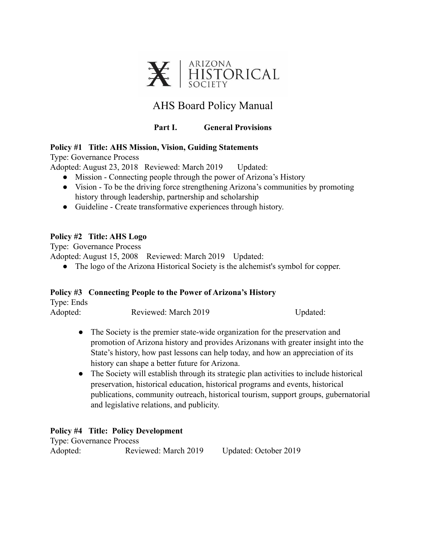

# AHS Board Policy Manual

# **Part I. General Provisions**

#### **Policy #1 Title: AHS Mission, Vision, Guiding Statements**

Type: Governance Process

Adopted: August 23, 2018 Reviewed: March 2019 Updated:

- Mission Connecting people through the power of Arizona's History
- Vision To be the driving force strengthening Arizona's communities by promoting history through leadership, partnership and scholarship
- Guideline Create transformative experiences through history.

## **Policy #2 Title: AHS Logo**

Type: Governance Process

Adopted: August 15, 2008 Reviewed: March 2019 Updated:

● The logo of the Arizona Historical Society is the alchemist's symbol for copper.

#### **Policy #3 Connecting People to the Power of Arizona's History**

| Type: Ends |                      |          |
|------------|----------------------|----------|
| Adopted:   | Reviewed: March 2019 | Updated: |

- The Society is the premier state-wide organization for the preservation and promotion of Arizona history and provides Arizonans with greater insight into the State's history, how past lessons can help today, and how an appreciation of its history can shape a better future for Arizona.
- The Society will establish through its strategic plan activities to include historical preservation, historical education, historical programs and events, historical publications, community outreach, historical tourism, support groups, gubernatorial and legislative relations, and publicity.

# **Policy #4 Title: Policy Development**

Type: Governance Process Adopted: Reviewed: March 2019 Updated: October 2019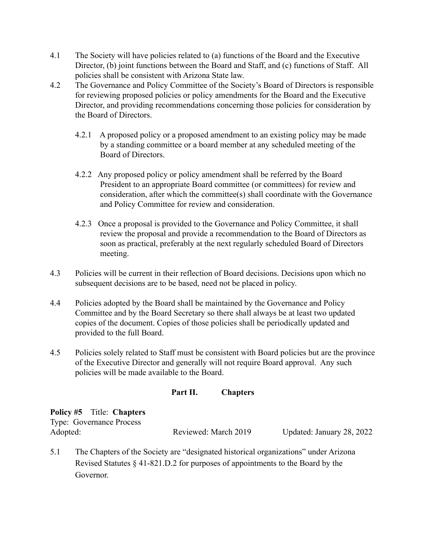- 4.1 The Society will have policies related to (a) functions of the Board and the Executive Director, (b) joint functions between the Board and Staff, and (c) functions of Staff. All policies shall be consistent with Arizona State law.
- 4.2 The Governance and Policy Committee of the Society's Board of Directors is responsible for reviewing proposed policies or policy amendments for the Board and the Executive Director, and providing recommendations concerning those policies for consideration by the Board of Directors.
	- 4.2.1 A proposed policy or a proposed amendment to an existing policy may be made by a standing committee or a board member at any scheduled meeting of the Board of Directors.
	- 4.2.2 Any proposed policy or policy amendment shall be referred by the Board President to an appropriate Board committee (or committees) for review and consideration, after which the committee(s) shall coordinate with the Governance and Policy Committee for review and consideration.
	- 4.2.3 Once a proposal is provided to the Governance and Policy Committee, it shall review the proposal and provide a recommendation to the Board of Directors as soon as practical, preferably at the next regularly scheduled Board of Directors meeting.
- 4.3 Policies will be current in their reflection of Board decisions. Decisions upon which no subsequent decisions are to be based, need not be placed in policy.
- 4.4 Policies adopted by the Board shall be maintained by the Governance and Policy Committee and by the Board Secretary so there shall always be at least two updated copies of the document. Copies of those policies shall be periodically updated and provided to the full Board.
- 4.5 Policies solely related to Staff must be consistent with Board policies but are the province of the Executive Director and generally will not require Board approval. Any such policies will be made available to the Board.

# **Part II. Chapters**

| <b>Policy #5</b> Title: Chapters |                      |                           |
|----------------------------------|----------------------|---------------------------|
| <b>Type: Governance Process</b>  |                      |                           |
| Adopted:                         | Reviewed: March 2019 | Updated: January 28, 2022 |

5.1 The Chapters of the Society are "designated historical organizations" under Arizona Revised Statutes § 41-821.D.2 for purposes of appointments to the Board by the Governor.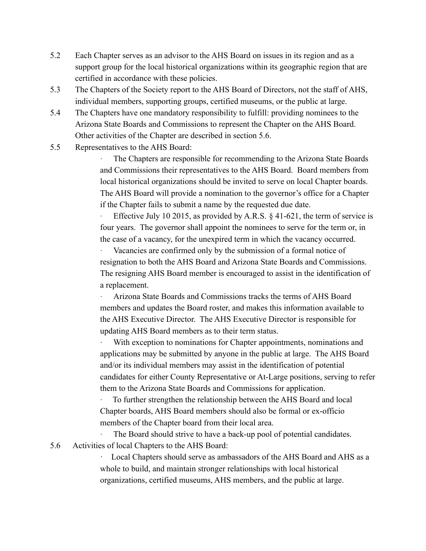- 5.2 Each Chapter serves as an advisor to the AHS Board on issues in its region and as a support group for the local historical organizations within its geographic region that are certified in accordance with these policies.
- 5.3 The Chapters of the Society report to the AHS Board of Directors, not the staff of AHS, individual members, supporting groups, certified museums, or the public at large.
- 5.4 The Chapters have one mandatory responsibility to fulfill: providing nominees to the Arizona State Boards and Commissions to represent the Chapter on the AHS Board. Other activities of the Chapter are described in section 5.6.
- 5.5 Representatives to the AHS Board:

The Chapters are responsible for recommending to the Arizona State Boards and Commissions their representatives to the AHS Board. Board members from local historical organizations should be invited to serve on local Chapter boards. The AHS Board will provide a nomination to the governor's office for a Chapter if the Chapter fails to submit a name by the requested due date.

Effective July 10 2015, as provided by A.R.S.  $\&$  41-621, the term of service is four years. The governor shall appoint the nominees to serve for the term or, in the case of a vacancy, for the unexpired term in which the vacancy occurred.

Vacancies are confirmed only by the submission of a formal notice of resignation to both the AHS Board and Arizona State Boards and Commissions. The resigning AHS Board member is encouraged to assist in the identification of a replacement.

· Arizona State Boards and Commissions tracks the terms of AHS Board members and updates the Board roster, and makes this information available to the AHS Executive Director. The AHS Executive Director is responsible for updating AHS Board members as to their term status.

With exception to nominations for Chapter appointments, nominations and applications may be submitted by anyone in the public at large. The AHS Board and/or its individual members may assist in the identification of potential candidates for either County Representative or At-Large positions, serving to refer them to the Arizona State Boards and Commissions for application.

· To further strengthen the relationship between the AHS Board and local Chapter boards, AHS Board members should also be formal or ex-officio members of the Chapter board from their local area.

The Board should strive to have a back-up pool of potential candidates. 5.6 Activities of local Chapters to the AHS Board:

> Local Chapters should serve as ambassadors of the AHS Board and AHS as a whole to build, and maintain stronger relationships with local historical organizations, certified museums, AHS members, and the public at large.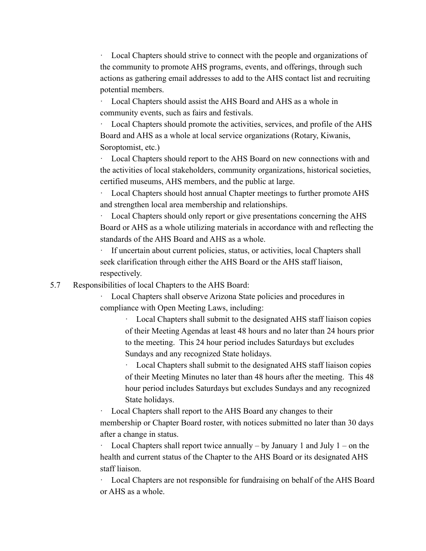· Local Chapters should strive to connect with the people and organizations of the community to promote AHS programs, events, and offerings, through such actions as gathering email addresses to add to the AHS contact list and recruiting potential members.

Local Chapters should assist the AHS Board and AHS as a whole in community events, such as fairs and festivals.

Local Chapters should promote the activities, services, and profile of the AHS Board and AHS as a whole at local service organizations (Rotary, Kiwanis, Soroptomist, etc.)

· Local Chapters should report to the AHS Board on new connections with and the activities of local stakeholders, community organizations, historical societies, certified museums, AHS members, and the public at large.

Local Chapters should host annual Chapter meetings to further promote AHS and strengthen local area membership and relationships.

· Local Chapters should only report or give presentations concerning the AHS Board or AHS as a whole utilizing materials in accordance with and reflecting the standards of the AHS Board and AHS as a whole.

If uncertain about current policies, status, or activities, local Chapters shall seek clarification through either the AHS Board or the AHS staff liaison, respectively.

5.7 Responsibilities of local Chapters to the AHS Board:

· Local Chapters shall observe Arizona State policies and procedures in compliance with Open Meeting Laws, including:

> · Local Chapters shall submit to the designated AHS staff liaison copies of their Meeting Agendas at least 48 hours and no later than 24 hours prior to the meeting. This 24 hour period includes Saturdays but excludes Sundays and any recognized State holidays.

> · Local Chapters shall submit to the designated AHS staff liaison copies of their Meeting Minutes no later than 48 hours after the meeting. This 48 hour period includes Saturdays but excludes Sundays and any recognized State holidays.

Local Chapters shall report to the AHS Board any changes to their membership or Chapter Board roster, with notices submitted no later than 30 days after a change in status.

Local Chapters shall report twice annually – by January 1 and July  $1$  – on the health and current status of the Chapter to the AHS Board or its designated AHS staff liaison.

Local Chapters are not responsible for fundraising on behalf of the AHS Board or AHS as a whole.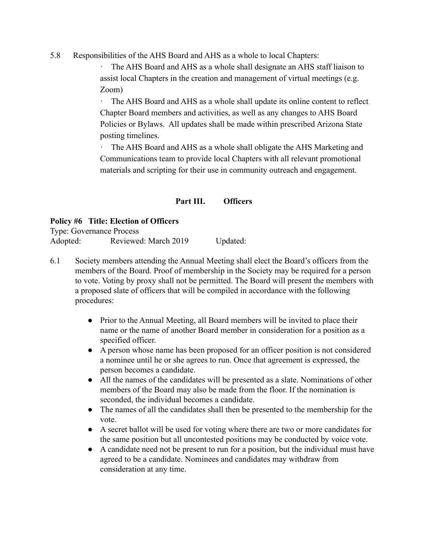5.8 Responsibilities of the AHS Board and AHS as a whole to local Chapters:

The AHS Board and AHS as a whole shall designate an AHS staff liaison to assist local Chapters in the creation and management of virtual meetings (e.g. Zoom)

The AHS Board and AHS as a whole shall update its online content to reflect Chapter Board members and activities, as well as any changes to AHS Board Policies or Bylaws. All updates shall be made within prescribed Arizona State posting timelines.

· The AHS Board and AHS as a whole shall obligate the AHS Marketing and Communications team to provide local Chapters with all relevant promotional materials and scripting for their use in community outreach and engagement.

#### **Part III. Officers**

#### **Policy #6 Title: Election of Officers**

Type: Governance Process

Adopted: Reviewed: March 2019 Updated:

- 6.1 Society members attending the Annual Meeting shall elect the Board's officers from the members of the Board. Proof of membership in the Society may be required for a person to vote. Voting by proxy shall not be permitted. The Board will present the members with a proposed slate of officers that will be compiled in accordance with the following procedures:
	- Prior to the Annual Meeting, all Board members will be invited to place their name or the name of another Board member in consideration for a position as a specified officer.
	- A person whose name has been proposed for an officer position is not considered a nominee until he or she agrees to run. Once that agreement is expressed, the person becomes a candidate.
	- All the names of the candidates will be presented as a slate. Nominations of other members of the Board may also be made from the floor. If the nomination is seconded, the individual becomes a candidate.
	- The names of all the candidates shall then be presented to the membership for the vote.
	- A secret ballot will be used for voting where there are two or more candidates for the same position but all uncontested positions may be conducted by voice vote.
	- A candidate need not be present to run for a position, but the individual must have agreed to be a candidate. Nominees and candidates may withdraw from consideration at any time.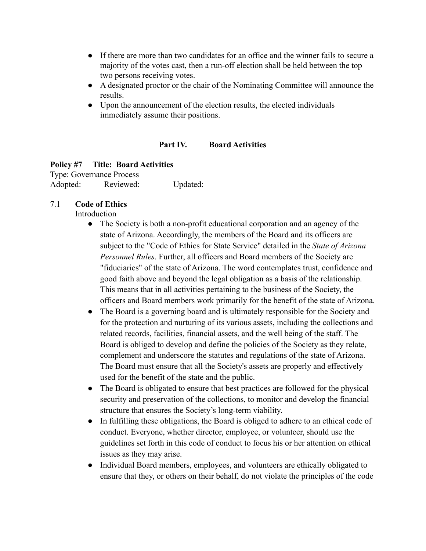- If there are more than two candidates for an office and the winner fails to secure a majority of the votes cast, then a run-off election shall be held between the top two persons receiving votes.
- A designated proctor or the chair of the Nominating Committee will announce the results.
- Upon the announcement of the election results, the elected individuals immediately assume their positions.

#### **Part IV. Board Activities**

## **Policy #7 Title: Board Activities**

Type: Governance Process Adopted: Reviewed: Updated:

## 7.1 **Code of Ethics**

Introduction

- The Society is both a non-profit educational corporation and an agency of the state of Arizona. Accordingly, the members of the Board and its officers are subject to the "Code of Ethics for State Service" detailed in the *State of Arizona Personnel Rules*. Further, all officers and Board members of the Society are "fiduciaries" of the state of Arizona. The word contemplates trust, confidence and good faith above and beyond the legal obligation as a basis of the relationship. This means that in all activities pertaining to the business of the Society, the officers and Board members work primarily for the benefit of the state of Arizona.
- The Board is a governing board and is ultimately responsible for the Society and for the protection and nurturing of its various assets, including the collections and related records, facilities, financial assets, and the well being of the staff. The Board is obliged to develop and define the policies of the Society as they relate, complement and underscore the statutes and regulations of the state of Arizona. The Board must ensure that all the Society's assets are properly and effectively used for the benefit of the state and the public.
- The Board is obligated to ensure that best practices are followed for the physical security and preservation of the collections, to monitor and develop the financial structure that ensures the Society's long-term viability.
- In fulfilling these obligations, the Board is obliged to adhere to an ethical code of conduct. Everyone, whether director, employee, or volunteer, should use the guidelines set forth in this code of conduct to focus his or her attention on ethical issues as they may arise.
- Individual Board members, employees, and volunteers are ethically obligated to ensure that they, or others on their behalf, do not violate the principles of the code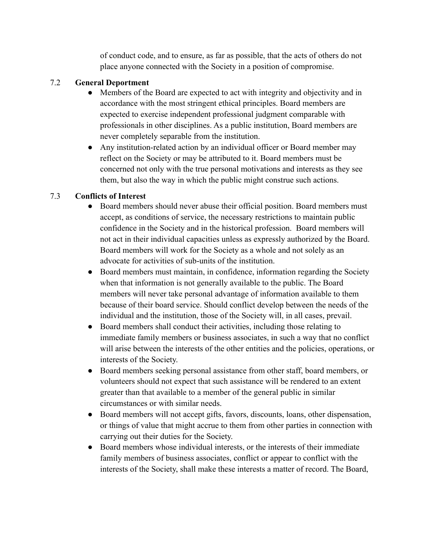of conduct code, and to ensure, as far as possible, that the acts of others do not place anyone connected with the Society in a position of compromise.

# 7.2 **General Deportment**

- Members of the Board are expected to act with integrity and objectivity and in accordance with the most stringent ethical principles. Board members are expected to exercise independent professional judgment comparable with professionals in other disciplines. As a public institution, Board members are never completely separable from the institution.
- Any institution-related action by an individual officer or Board member may reflect on the Society or may be attributed to it. Board members must be concerned not only with the true personal motivations and interests as they see them, but also the way in which the public might construe such actions.

## 7.3 **Conflicts of Interest**

- Board members should never abuse their official position. Board members must accept, as conditions of service, the necessary restrictions to maintain public confidence in the Society and in the historical profession. Board members will not act in their individual capacities unless as expressly authorized by the Board. Board members will work for the Society as a whole and not solely as an advocate for activities of sub-units of the institution.
- Board members must maintain, in confidence, information regarding the Society when that information is not generally available to the public. The Board members will never take personal advantage of information available to them because of their board service. Should conflict develop between the needs of the individual and the institution, those of the Society will, in all cases, prevail.
- Board members shall conduct their activities, including those relating to immediate family members or business associates, in such a way that no conflict will arise between the interests of the other entities and the policies, operations, or interests of the Society.
- Board members seeking personal assistance from other staff, board members, or volunteers should not expect that such assistance will be rendered to an extent greater than that available to a member of the general public in similar circumstances or with similar needs.
- Board members will not accept gifts, favors, discounts, loans, other dispensation, or things of value that might accrue to them from other parties in connection with carrying out their duties for the Society.
- Board members whose individual interests, or the interests of their immediate family members of business associates, conflict or appear to conflict with the interests of the Society, shall make these interests a matter of record. The Board,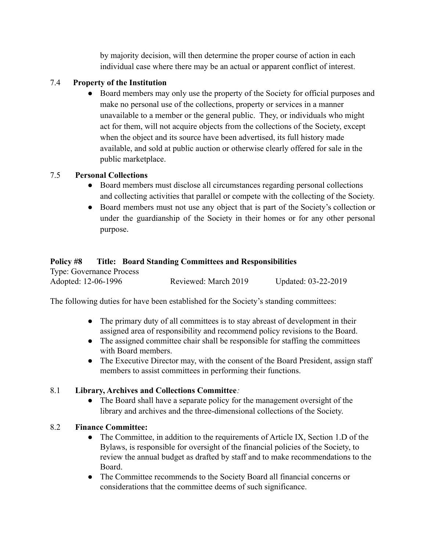by majority decision, will then determine the proper course of action in each individual case where there may be an actual or apparent conflict of interest.

## 7.4 **Property of the Institution**

● Board members may only use the property of the Society for official purposes and make no personal use of the collections, property or services in a manner unavailable to a member or the general public. They, or individuals who might act for them, will not acquire objects from the collections of the Society, except when the object and its source have been advertised, its full history made available, and sold at public auction or otherwise clearly offered for sale in the public marketplace.

## 7.5 **Personal Collections**

- Board members must disclose all circumstances regarding personal collections and collecting activities that parallel or compete with the collecting of the Society.
- Board members must not use any object that is part of the Society's collection or under the guardianship of the Society in their homes or for any other personal purpose.

## **Policy #8 Title: Board Standing Committees and Responsibilities**

Type: Governance Process Adopted: 12-06-1996 Reviewed: March 2019 Updated: 03-22-2019

The following duties for have been established for the Society's standing committees:

- The primary duty of all committees is to stay abreast of development in their assigned area of responsibility and recommend policy revisions to the Board.
- The assigned committee chair shall be responsible for staffing the committees with Board members.
- The Executive Director may, with the consent of the Board President, assign staff members to assist committees in performing their functions.

# 8.1 **Library, Archives and Collections Committee***:*

• The Board shall have a separate policy for the management oversight of the library and archives and the three-dimensional collections of the Society.

#### 8.2 **Finance Committee:**

- The Committee, in addition to the requirements of Article IX, Section 1.D of the Bylaws, is responsible for oversight of the financial policies of the Society, to review the annual budget as drafted by staff and to make recommendations to the Board.
- The Committee recommends to the Society Board all financial concerns or considerations that the committee deems of such significance.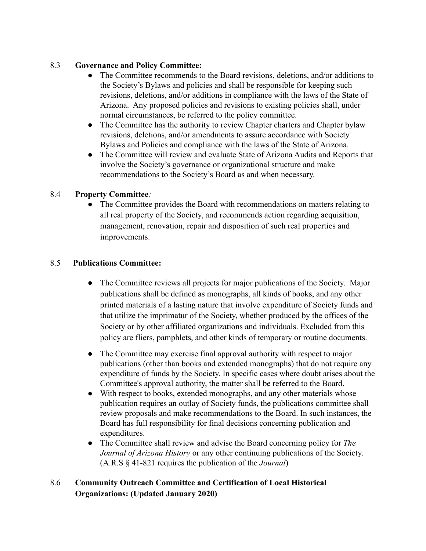## 8.3 **Governance and Policy Committee:**

- The Committee recommends to the Board revisions, deletions, and/or additions to the Society's Bylaws and policies and shall be responsible for keeping such revisions, deletions, and/or additions in compliance with the laws of the State of Arizona. Any proposed policies and revisions to existing policies shall, under normal circumstances, be referred to the policy committee.
- The Committee has the authority to review Chapter charters and Chapter bylaw revisions, deletions, and/or amendments to assure accordance with Society Bylaws and Policies and compliance with the laws of the State of Arizona.
- The Committee will review and evaluate State of Arizona Audits and Reports that involve the Society's governance or organizational structure and make recommendations to the Society's Board as and when necessary.

# 8.4 **Property Committee***:*

● The Committee provides the Board with recommendations on matters relating to all real property of the Society, and recommends action regarding acquisition, management, renovation, repair and disposition of such real properties and improvements.

## 8.5 **Publications Committee:**

- The Committee reviews all projects for major publications of the Society. Major publications shall be defined as monographs, all kinds of books, and any other printed materials of a lasting nature that involve expenditure of Society funds and that utilize the imprimatur of the Society, whether produced by the offices of the Society or by other affiliated organizations and individuals. Excluded from this policy are fliers, pamphlets, and other kinds of temporary or routine documents.
- The Committee may exercise final approval authority with respect to major publications (other than books and extended monographs) that do not require any expenditure of funds by the Society. In specific cases where doubt arises about the Committee's approval authority, the matter shall be referred to the Board.
- With respect to books, extended monographs, and any other materials whose publication requires an outlay of Society funds, the publications committee shall review proposals and make recommendations to the Board. In such instances, the Board has full responsibility for final decisions concerning publication and expenditures.
- The Committee shall review and advise the Board concerning policy for *The Journal of Arizona History* or any other continuing publications of the Society. (A.R.S § 41-821 requires the publication of the *Journal*)

# 8.6 **Community Outreach Committee and Certification of Local Historical Organizations: (Updated January 2020)**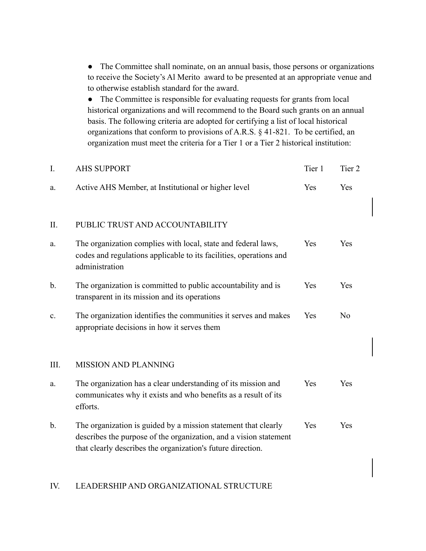• The Committee shall nominate, on an annual basis, those persons or organizations to receive the Society's Al Merito award to be presented at an appropriate venue and to otherwise establish standard for the award.

● The Committee is responsible for evaluating requests for grants from local historical organizations and will recommend to the Board such grants on an annual basis. The following criteria are adopted for certifying a list of local historical organizations that conform to provisions of A.R.S. § 41-821. To be certified, an organization must meet the criteria for a Tier 1 or a Tier 2 historical institution:

| I.             | <b>AHS SUPPORT</b>                                                                                                                                                                                 | Tier 1 | Tier <sub>2</sub> |
|----------------|----------------------------------------------------------------------------------------------------------------------------------------------------------------------------------------------------|--------|-------------------|
| a.             | Active AHS Member, at Institutional or higher level                                                                                                                                                | Yes    | Yes               |
| II.            | PUBLIC TRUST AND ACCOUNTABILITY                                                                                                                                                                    |        |                   |
| a.             | The organization complies with local, state and federal laws,<br>codes and regulations applicable to its facilities, operations and<br>administration                                              | Yes    | Yes               |
| $\mathbf{b}$ . | The organization is committed to public accountability and is<br>transparent in its mission and its operations                                                                                     | Yes    | Yes               |
| $\mathbf{c}$ . | The organization identifies the communities it serves and makes<br>appropriate decisions in how it serves them                                                                                     | Yes    | N <sub>o</sub>    |
| Ш.             | <b>MISSION AND PLANNING</b>                                                                                                                                                                        |        |                   |
| a.             | The organization has a clear understanding of its mission and<br>communicates why it exists and who benefits as a result of its<br>efforts.                                                        | Yes    | Yes               |
| $\mathbf b$ .  | The organization is guided by a mission statement that clearly<br>describes the purpose of the organization, and a vision statement<br>that clearly describes the organization's future direction. | Yes    | Yes               |

#### IV. LEADERSHIP AND ORGANIZATIONAL STRUCTURE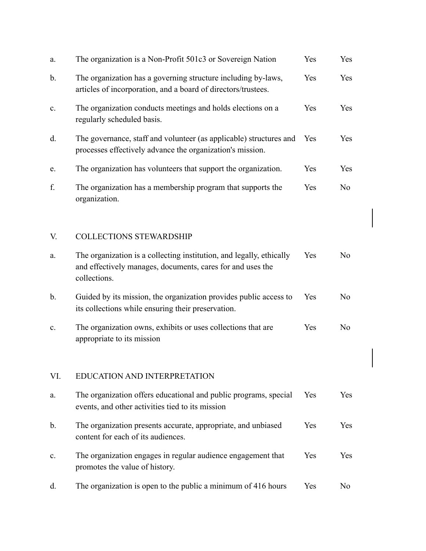| a.             | The organization is a Non-Profit 501c3 or Sovereign Nation                                                                                         | Yes | Yes            |
|----------------|----------------------------------------------------------------------------------------------------------------------------------------------------|-----|----------------|
| b.             | The organization has a governing structure including by-laws,<br>articles of incorporation, and a board of directors/trustees.                     | Yes | Yes            |
| c.             | The organization conducts meetings and holds elections on a<br>regularly scheduled basis.                                                          | Yes | Yes            |
| d.             | The governance, staff and volunteer (as applicable) structures and<br>processes effectively advance the organization's mission.                    | Yes | Yes            |
| e.             | The organization has volunteers that support the organization.                                                                                     | Yes | Yes            |
| f.             | The organization has a membership program that supports the<br>organization.                                                                       | Yes | N <sub>o</sub> |
| V.             | <b>COLLECTIONS STEWARDSHIP</b>                                                                                                                     |     |                |
| a.             | The organization is a collecting institution, and legally, ethically<br>and effectively manages, documents, cares for and uses the<br>collections. | Yes | N <sub>0</sub> |
| b.             | Guided by its mission, the organization provides public access to<br>its collections while ensuring their preservation.                            | Yes | N <sub>0</sub> |
| $\mathbf{c}$ . | The organization owns, exhibits or uses collections that are<br>appropriate to its mission                                                         | Yes | N <sub>0</sub> |
| VI.            | EDUCATION AND INTERPRETATION                                                                                                                       |     |                |
| a.             | The organization offers educational and public programs, special<br>events, and other activities tied to its mission                               | Yes | Yes            |
| b.             | The organization presents accurate, appropriate, and unbiased<br>content for each of its audiences.                                                | Yes | Yes            |
| $\mathbf{c}$ . | The organization engages in regular audience engagement that<br>promotes the value of history.                                                     | Yes | Yes            |
| d.             | The organization is open to the public a minimum of 416 hours                                                                                      | Yes | N <sub>0</sub> |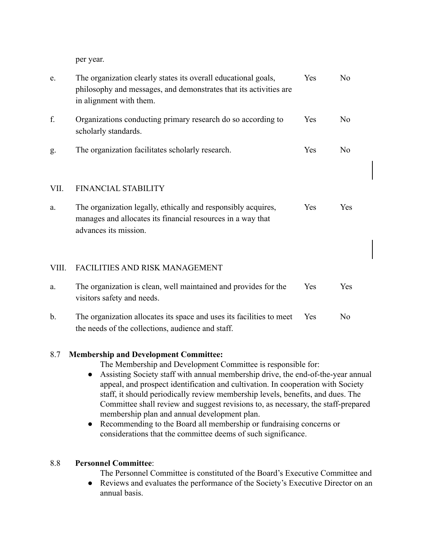per year.

| e.    | The organization clearly states its overall educational goals,<br>philosophy and messages, and demonstrates that its activities are<br>in alignment with them. | Yes | N <sub>0</sub> |
|-------|----------------------------------------------------------------------------------------------------------------------------------------------------------------|-----|----------------|
| f.    | Organizations conducting primary research do so according to<br>scholarly standards.                                                                           | Yes | N <sub>0</sub> |
| g.    | The organization facilitates scholarly research.                                                                                                               | Yes | No             |
| VII.  | <b>FINANCIAL STABILITY</b>                                                                                                                                     |     |                |
| a.    | The organization legally, ethically and responsibly acquires,<br>manages and allocates its financial resources in a way that<br>advances its mission.          | Yes | Yes            |
| VIII. | FACILITIES AND RISK MANAGEMENT                                                                                                                                 |     |                |
| a.    | The organization is clean, well maintained and provides for the<br>visitors safety and needs.                                                                  | Yes | Yes            |
| b.    | The organization allocates its space and uses its facilities to meet<br>the needs of the collections, audience and staff.                                      | Yes | N <sub>0</sub> |

# 8.7 **Membership and Development Committee:**

The Membership and Development Committee is responsible for:

- Assisting Society staff with annual membership drive, the end-of-the-year annual appeal, and prospect identification and cultivation. In cooperation with Society staff, it should periodically review membership levels, benefits, and dues. The Committee shall review and suggest revisions to, as necessary, the staff-prepared membership plan and annual development plan.
- Recommending to the Board all membership or fundraising concerns or considerations that the committee deems of such significance.

# 8.8 **Personnel Committee**:

The Personnel Committee is constituted of the Board's Executive Committee and

● Reviews and evaluates the performance of the Society's Executive Director on an annual basis.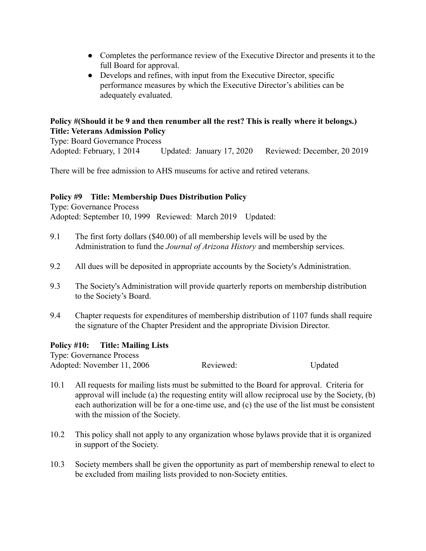- Completes the performance review of the Executive Director and presents it to the full Board for approval.
- Develops and refines, with input from the Executive Director, specific performance measures by which the Executive Director's abilities can be adequately evaluated.

# **Policy #(Should it be 9 and then renumber all the rest? This is really where it belongs.) Title: Veterans Admission Policy**

Type: Board Governance Process Adopted: February, 1 2014 Updated: January 17, 2020 Reviewed: December, 20 2019

There will be free admission to AHS museums for active and retired veterans.

## **Policy #9 Title: Membership Dues Distribution Policy**

Type: Governance Process Adopted: September 10, 1999 Reviewed: March 2019 Updated:

- 9.1 The first forty dollars (\$40.00) of all membership levels will be used by the Administration to fund the *Journal of Arizona History* and membership services.
- 9.2 All dues will be deposited in appropriate accounts by the Society's Administration.
- 9.3 The Society's Administration will provide quarterly reports on membership distribution to the Society's Board.
- 9.4 Chapter requests for expenditures of membership distribution of 1107 funds shall require the signature of the Chapter President and the appropriate Division Director.

# **Policy #10: Title: Mailing Lists**

Type: Governance Process Adopted: November 11, 2006 Reviewed: Updated

- 10.1 All requests for mailing lists must be submitted to the Board for approval. Criteria for approval will include (a) the requesting entity will allow reciprocal use by the Society, (b) each authorization will be for a one-time use, and (c) the use of the list must be consistent with the mission of the Society.
- 10.2 This policy shall not apply to any organization whose bylaws provide that it is organized in support of the Society.
- 10.3 Society members shall be given the opportunity as part of membership renewal to elect to be excluded from mailing lists provided to non-Society entities.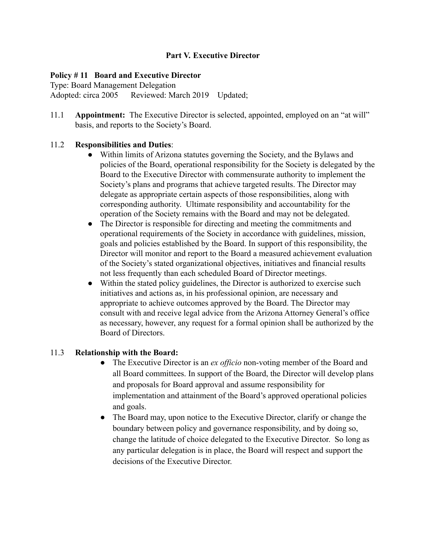#### **Part V. Executive Director**

## **Policy # 11 Board and Executive Director**

Type: Board Management Delegation Adopted: circa 2005 Reviewed: March 2019 Updated;

11.1 **Appointment:** The Executive Director is selected, appointed, employed on an "at will" basis, and reports to the Society's Board.

## 11.2 **Responsibilities and Duties**:

- Within limits of Arizona statutes governing the Society, and the Bylaws and policies of the Board, operational responsibility for the Society is delegated by the Board to the Executive Director with commensurate authority to implement the Society's plans and programs that achieve targeted results. The Director may delegate as appropriate certain aspects of those responsibilities, along with corresponding authority. Ultimate responsibility and accountability for the operation of the Society remains with the Board and may not be delegated.
- The Director is responsible for directing and meeting the commitments and operational requirements of the Society in accordance with guidelines, mission, goals and policies established by the Board. In support of this responsibility, the Director will monitor and report to the Board a measured achievement evaluation of the Society's stated organizational objectives, initiatives and financial results not less frequently than each scheduled Board of Director meetings.
- Within the stated policy guidelines, the Director is authorized to exercise such initiatives and actions as, in his professional opinion, are necessary and appropriate to achieve outcomes approved by the Board. The Director may consult with and receive legal advice from the Arizona Attorney General's office as necessary, however, any request for a formal opinion shall be authorized by the Board of Directors.

#### 11.3 **Relationship with the Board:**

- The Executive Director is an *ex officio* non-voting member of the Board and all Board committees. In support of the Board, the Director will develop plans and proposals for Board approval and assume responsibility for implementation and attainment of the Board's approved operational policies and goals.
- The Board may, upon notice to the Executive Director, clarify or change the boundary between policy and governance responsibility, and by doing so, change the latitude of choice delegated to the Executive Director. So long as any particular delegation is in place, the Board will respect and support the decisions of the Executive Director.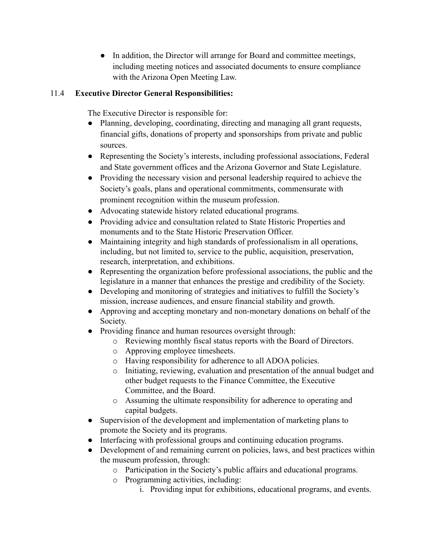• In addition, the Director will arrange for Board and committee meetings, including meeting notices and associated documents to ensure compliance with the Arizona Open Meeting Law.

# 11.4 **Executive Director General Responsibilities:**

The Executive Director is responsible for:

- Planning, developing, coordinating, directing and managing all grant requests, financial gifts, donations of property and sponsorships from private and public sources.
- Representing the Society's interests, including professional associations, Federal and State government offices and the Arizona Governor and State Legislature.
- Providing the necessary vision and personal leadership required to achieve the Society's goals, plans and operational commitments, commensurate with prominent recognition within the museum profession.
- Advocating statewide history related educational programs.
- Providing advice and consultation related to State Historic Properties and monuments and to the State Historic Preservation Officer.
- Maintaining integrity and high standards of professionalism in all operations, including, but not limited to, service to the public, acquisition, preservation, research, interpretation, and exhibitions.
- Representing the organization before professional associations, the public and the legislature in a manner that enhances the prestige and credibility of the Society.
- Developing and monitoring of strategies and initiatives to fulfill the Society's mission, increase audiences, and ensure financial stability and growth.
- Approving and accepting monetary and non-monetary donations on behalf of the Society.
- Providing finance and human resources oversight through:
	- o Reviewing monthly fiscal status reports with the Board of Directors.
	- o Approving employee timesheets.
	- o Having responsibility for adherence to all ADOA policies.
	- o Initiating, reviewing, evaluation and presentation of the annual budget and other budget requests to the Finance Committee, the Executive Committee, and the Board.
	- o Assuming the ultimate responsibility for adherence to operating and capital budgets.
- Supervision of the development and implementation of marketing plans to promote the Society and its programs.
- Interfacing with professional groups and continuing education programs.
- Development of and remaining current on policies, laws, and best practices within the museum profession, through:
	- o Participation in the Society's public affairs and educational programs.
	- o Programming activities, including:
		- i. Providing input for exhibitions, educational programs, and events.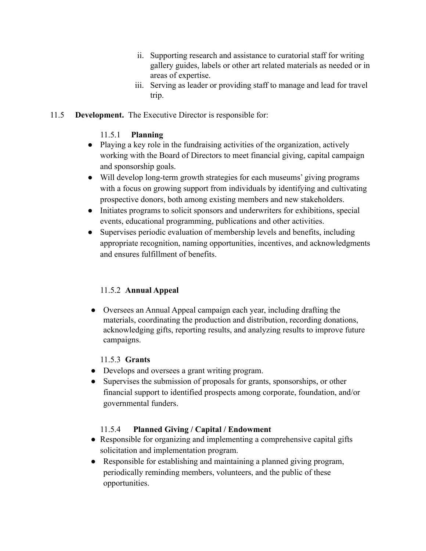- ii. Supporting research and assistance to curatorial staff for writing gallery guides, labels or other art related materials as needed or in areas of expertise.
- iii. Serving as leader or providing staff to manage and lead for travel trip.
- 11.5 **Development.** The Executive Director is responsible for:

#### 11.5.1 **Planning**

- Playing a key role in the fundraising activities of the organization, actively working with the Board of Directors to meet financial giving, capital campaign and sponsorship goals.
- Will develop long-term growth strategies for each museums' giving programs with a focus on growing support from individuals by identifying and cultivating prospective donors, both among existing members and new stakeholders.
- Initiates programs to solicit sponsors and underwriters for exhibitions, special events, educational programming, publications and other activities.
- Supervises periodic evaluation of membership levels and benefits, including appropriate recognition, naming opportunities, incentives, and acknowledgments and ensures fulfillment of benefits.

# 11.5.2 **Annual Appeal**

● Oversees an Annual Appeal campaign each year, including drafting the materials, coordinating the production and distribution, recording donations, acknowledging gifts, reporting results, and analyzing results to improve future campaigns.

# 11.5.3 **Grants**

- Develops and oversees a grant writing program.
- Supervises the submission of proposals for grants, sponsorships, or other financial support to identified prospects among corporate, foundation, and/or governmental funders.

# 11.5.4 **Planned Giving / Capital / Endowment**

- Responsible for organizing and implementing a comprehensive capital gifts solicitation and implementation program.
- Responsible for establishing and maintaining a planned giving program, periodically reminding members, volunteers, and the public of these opportunities.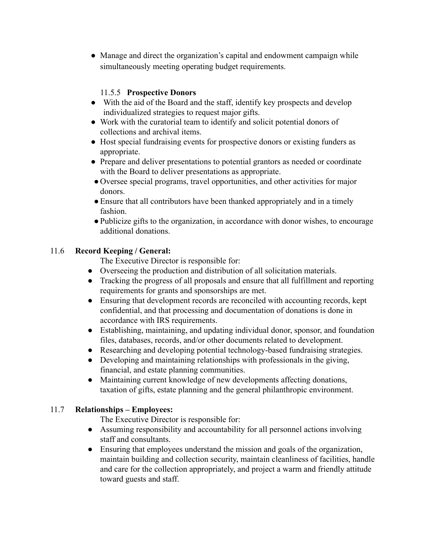• Manage and direct the organization's capital and endowment campaign while simultaneously meeting operating budget requirements.

# 11.5.5 **Prospective Donors**

- With the aid of the Board and the staff, identify key prospects and develop individualized strategies to request major gifts.
- Work with the curatorial team to identify and solicit potential donors of collections and archival items.
- Host special fundraising events for prospective donors or existing funders as appropriate.
- Prepare and deliver presentations to potential grantors as needed or coordinate with the Board to deliver presentations as appropriate.
- Oversee special programs, travel opportunities, and other activities for major donors.
- Ensure that all contributors have been thanked appropriately and in a timely fashion.
- ●Publicize gifts to the organization, in accordance with donor wishes, to encourage additional donations.

# 11.6 **Record Keeping / General:**

The Executive Director is responsible for:

- Overseeing the production and distribution of all solicitation materials.
- Tracking the progress of all proposals and ensure that all fulfillment and reporting requirements for grants and sponsorships are met.
- Ensuring that development records are reconciled with accounting records, kept confidential, and that processing and documentation of donations is done in accordance with IRS requirements.
- Establishing, maintaining, and updating individual donor, sponsor, and foundation files, databases, records, and/or other documents related to development.
- Researching and developing potential technology-based fundraising strategies.
- Developing and maintaining relationships with professionals in the giving, financial, and estate planning communities.
- Maintaining current knowledge of new developments affecting donations, taxation of gifts, estate planning and the general philanthropic environment.

# 11.7 **Relationships – Employees:**

The Executive Director is responsible for:

- Assuming responsibility and accountability for all personnel actions involving staff and consultants.
- Ensuring that employees understand the mission and goals of the organization, maintain building and collection security, maintain cleanliness of facilities, handle and care for the collection appropriately, and project a warm and friendly attitude toward guests and staff.